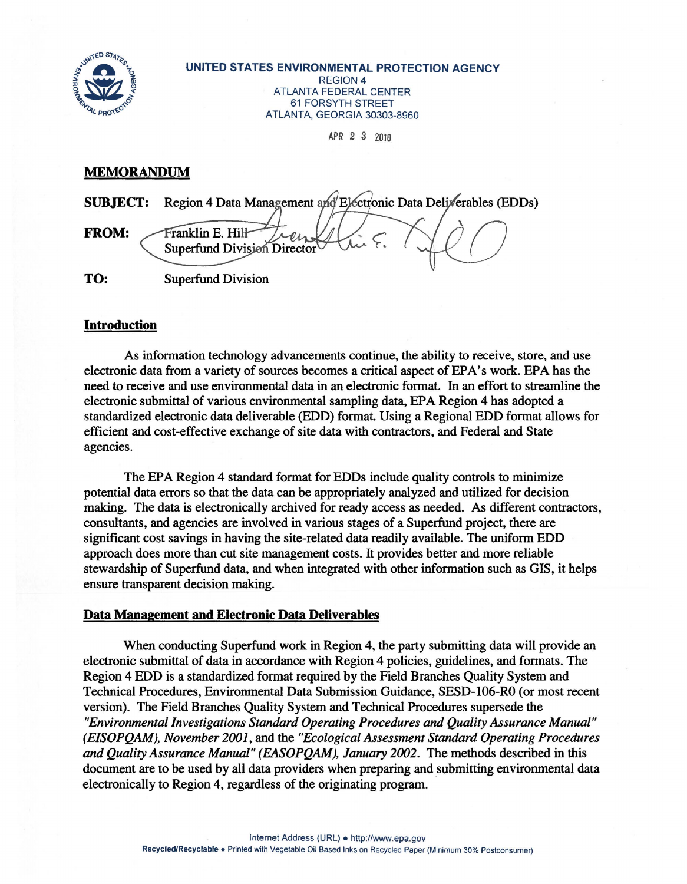

UNITED STATES ENVIRONMENTAL PROTECTION AGENCY REGION 4 ATLANTA FEDERAL CENTER 61 FORSYTH STREET ATLANTA, GEORGIA 30303-8960

APR 2 3 2010

## **MEMORANDUM**

| <b>SUBJECT:</b> | Region 4 Data Management and Electronic Data Deliverables (EDDs) |
|-----------------|------------------------------------------------------------------|
| <b>FROM:</b>    | Franklin E. Hill<br>Superfund Division Director                  |
| TO:             | <b>Superfund Division</b>                                        |

## Introduction

As information technology advancements continue, the ability to receive, store, and use electronic data from a variety of sources becomes a critical aspect of EPA's work. EPA has the need to receive and use environmental data in an electronic format. In an effort to streamline the electronic submittal of various environmental sampling data, EPA Region 4 has adopted a standardized electronic data deliverable (EDD) format. Using a Regional EDD format allows for efficient and cost-effective exchange of site data with contractors, and Federal and State agencies.

The EPA Region 4 standard format for EDDs include quality controls to minimize potential data errors so that the data can be appropriately analyzed and utilized for decision making. The data is electronically archived for ready access as needed. As different contractors, consultants, and agencies are involved in various stages of a Superfund project, there are significant cost savings in having the site-related data readily available. The uniform EDD approach does more than cut site management costs. It provides better and more reliable stewardship of Superfund data, and when integrated with other information such as GIS, it helps ensure transparent decision making.

## Data Management and Electronic Data Deliverables

When conducting Superfund work in Region 4, the party submitting data will provide an electronic submittal of data in accordance with Region 4 policies, guidelines, and formats. The Region 4 EDD is a standardized format required by the Field Branches Quality System and Technical Procedures, Environmental Data Submission Guidance, SESD-106-RO (or most recent version). The Field Branches Quality System and Technical Procedures supersede the *"Environmental Investigations Standard Operating Procedures and Quality Assurance Manual" (EISOPQAM), November 2001,* and the *"Ecological Assessment Standard Operating Procedures*  and Quality Assurance Manual" (EASOPQAM), January 2002. The methods described in this document are to be used by all data providers when preparing and submitting environmental data electronically to Region 4, regardless of the originating program.